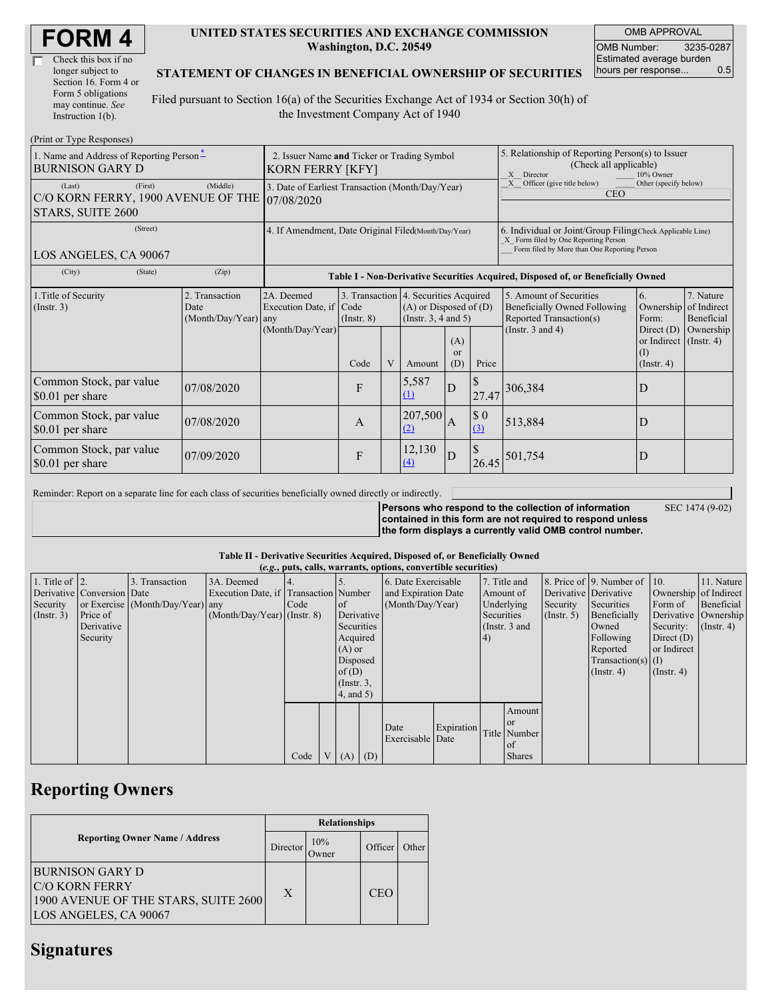| <b>FORM4</b> |
|--------------|
|--------------|

| Check this box if no  |
|-----------------------|
| longer subject to     |
| Section 16. Form 4 or |
| Form 5 obligations    |
| may continue. See     |
| Instruction 1(b).     |

#### **UNITED STATES SECURITIES AND EXCHANGE COMMISSION Washington, D.C. 20549**

OMB APPROVAL OMB Number: 3235-0287 Estimated average burden hours per response... 0.5

### **STATEMENT OF CHANGES IN BENEFICIAL OWNERSHIP OF SECURITIES**

Filed pursuant to Section 16(a) of the Securities Exchange Act of 1934 or Section 30(h) of the Investment Company Act of 1940

| (Print or Type Responses)                                                                                      |                                                                        |                                                           |                         |   |                                                                                                                                      |                |                                                                                                                                                    |                                                                                                             |                                                                                                             |                                      |
|----------------------------------------------------------------------------------------------------------------|------------------------------------------------------------------------|-----------------------------------------------------------|-------------------------|---|--------------------------------------------------------------------------------------------------------------------------------------|----------------|----------------------------------------------------------------------------------------------------------------------------------------------------|-------------------------------------------------------------------------------------------------------------|-------------------------------------------------------------------------------------------------------------|--------------------------------------|
| 1. Name and Address of Reporting Person-<br>BURNISON GARY D                                                    | 2. Issuer Name and Ticker or Trading Symbol<br><b>KORN FERRY [KFY]</b> |                                                           |                         |   |                                                                                                                                      |                | 5. Relationship of Reporting Person(s) to Issuer<br>(Check all applicable)<br>X Director<br>10% Owner                                              |                                                                                                             |                                                                                                             |                                      |
| (First)<br>(Last)<br>C/O KORN FERRY, 1900 AVENUE OF THE 07/08/2020<br>STARS, SUITE 2600                        | 3. Date of Earliest Transaction (Month/Day/Year)                       |                                                           |                         |   |                                                                                                                                      |                | Other (specify below)<br>Officer (give title below)<br>X<br><b>CEO</b>                                                                             |                                                                                                             |                                                                                                             |                                      |
| (Street)<br>LOS ANGELES, CA 90067                                                                              | 4. If Amendment, Date Original Filed(Month/Day/Year)                   |                                                           |                         |   |                                                                                                                                      |                | 6. Individual or Joint/Group Filing Check Applicable Line)<br>X Form filed by One Reporting Person<br>Form filed by More than One Reporting Person |                                                                                                             |                                                                                                             |                                      |
| (State)<br>(Zip)<br>(City)<br>Table I - Non-Derivative Securities Acquired, Disposed of, or Beneficially Owned |                                                                        |                                                           |                         |   |                                                                                                                                      |                |                                                                                                                                                    |                                                                                                             |                                                                                                             |                                      |
| 1. Title of Security<br>$($ Instr. 3 $)$                                                                       | 2. Transaction<br>Date<br>(Month/Day/Year) any                         | 2A. Deemed<br>Execution Date, if Code<br>(Month/Day/Year) | $($ Instr. $8)$<br>Code | V | 3. Transaction 4. Securities Acquired<br>$(A)$ or Disposed of $(D)$<br>(Instr. $3, 4$ and $5$ )<br>(A)<br><b>or</b><br>(D)<br>Amount |                | Price                                                                                                                                              | 5. Amount of Securities<br>Beneficially Owned Following<br>Reported Transaction(s)<br>(Instr. $3$ and $4$ ) | 6.<br>Ownership of Indirect<br>Form:<br>Direct $(D)$<br>or Indirect (Instr. 4)<br>$($ I<br>$($ Instr. 4 $)$ | 7. Nature<br>Beneficial<br>Ownership |
| Common Stock, par value<br>\$0.01 per share                                                                    | 07/08/2020                                                             |                                                           | F                       |   | 5,587<br>(1)                                                                                                                         | D              | 27.47                                                                                                                                              | 306,384                                                                                                     | D                                                                                                           |                                      |
| Common Stock, par value<br>\$0.01 per share                                                                    | 07/08/2020                                                             |                                                           | $\mathbf{A}$            |   | 207,500<br>(2)                                                                                                                       | $\overline{A}$ | \$0<br>(3)                                                                                                                                         | 513,884                                                                                                     | D                                                                                                           |                                      |
| Common Stock, par value<br>\$0.01 per share                                                                    | 07/09/2020                                                             |                                                           | F                       |   | 12,130<br>$\Delta$                                                                                                                   | D              | $\mathcal{S}$<br>26.45                                                                                                                             | 501,754                                                                                                     | D                                                                                                           |                                      |

Reminder: Report on a separate line for each class of securities beneficially owned directly or indirectly.

SEC 1474 (9-02)

**Persons who respond to the collection of information contained in this form are not required to respond unless the form displays a currently valid OMB control number.**

#### **Table II - Derivative Securities Acquired, Disposed of, or Beneficially Owned**

|                        | (e.g., puts, calls, warrants, options, convertible securities) |                                  |                                       |       |   |                 |            |                          |            |            |                 |                       |                          |                       |                      |
|------------------------|----------------------------------------------------------------|----------------------------------|---------------------------------------|-------|---|-----------------|------------|--------------------------|------------|------------|-----------------|-----------------------|--------------------------|-----------------------|----------------------|
| 1. Title of $\vert$ 2. |                                                                | 3. Transaction                   | 3A. Deemed                            | $-4.$ |   |                 |            | 6. Date Exercisable      |            |            | 7. Title and    |                       | 8. Price of 9. Number of | $\vert$ 10.           | 11. Nature           |
|                        | Derivative Conversion Date                                     |                                  | Execution Date, if Transaction Number |       |   |                 |            | and Expiration Date      |            | Amount of  |                 | Derivative Derivative |                          | Ownership of Indirect |                      |
| Security               |                                                                | or Exercise (Month/Day/Year) any |                                       | Code  |   | <sub>of</sub>   |            | (Month/Day/Year)         |            | Underlying |                 | Security              | Securities               | Form of               | Beneficial           |
| $($ Instr. 3 $)$       | Price of                                                       |                                  | $(Month/Day/Year)$ (Instr. 8)         |       |   |                 | Derivative |                          |            | Securities |                 | $($ Instr. 5)         | Beneficially             |                       | Derivative Ownership |
|                        | Derivative                                                     |                                  |                                       |       |   | Securities      |            |                          |            |            | (Instr. $3$ and |                       | Owned                    | Security:             | $($ Instr. 4 $)$     |
|                        | Security                                                       |                                  |                                       |       |   | Acquired        |            |                          |            | 4)         |                 |                       | Following                | Direct $(D)$          |                      |
|                        |                                                                |                                  |                                       |       |   | $(A)$ or        |            |                          |            |            |                 |                       | Reported                 | or Indirect           |                      |
|                        |                                                                |                                  |                                       |       |   | Disposed        |            |                          |            |            |                 |                       | $Transaction(s)$ (I)     |                       |                      |
|                        |                                                                |                                  |                                       |       |   | of(D)           |            |                          |            |            |                 |                       | $($ Instr. 4 $)$         | $($ Instr. 4 $)$      |                      |
|                        |                                                                |                                  |                                       |       |   | $($ Instr. $3,$ |            |                          |            |            |                 |                       |                          |                       |                      |
|                        |                                                                |                                  |                                       |       |   | $4$ , and $5$ ) |            |                          |            |            |                 |                       |                          |                       |                      |
|                        |                                                                |                                  |                                       |       |   |                 |            |                          |            |            | Amount          |                       |                          |                       |                      |
|                        |                                                                |                                  |                                       |       |   |                 |            |                          |            |            | <b>or</b>       |                       |                          |                       |                      |
|                        |                                                                |                                  |                                       |       |   |                 |            | Date<br>Exercisable Date | Expiration |            | Title Number    |                       |                          |                       |                      |
|                        |                                                                |                                  |                                       |       |   |                 |            |                          |            |            | of              |                       |                          |                       |                      |
|                        |                                                                |                                  |                                       | Code  | V | (A)             | (D)        |                          |            |            | <b>Shares</b>   |                       |                          |                       |                      |

## **Reporting Owners**

|                                                                                                                  | <b>Relationships</b> |                      |         |       |  |  |  |
|------------------------------------------------------------------------------------------------------------------|----------------------|----------------------|---------|-------|--|--|--|
| <b>Reporting Owner Name / Address</b>                                                                            | Director             | 10%<br><b>J</b> wner | Officer | Other |  |  |  |
| <b>BURNISON GARY D</b><br><b>C/O KORN FERRY</b><br>1900 AVENUE OF THE STARS, SUITE 2600<br>LOS ANGELES, CA 90067 | X                    |                      | CEO     |       |  |  |  |

## **Signatures**